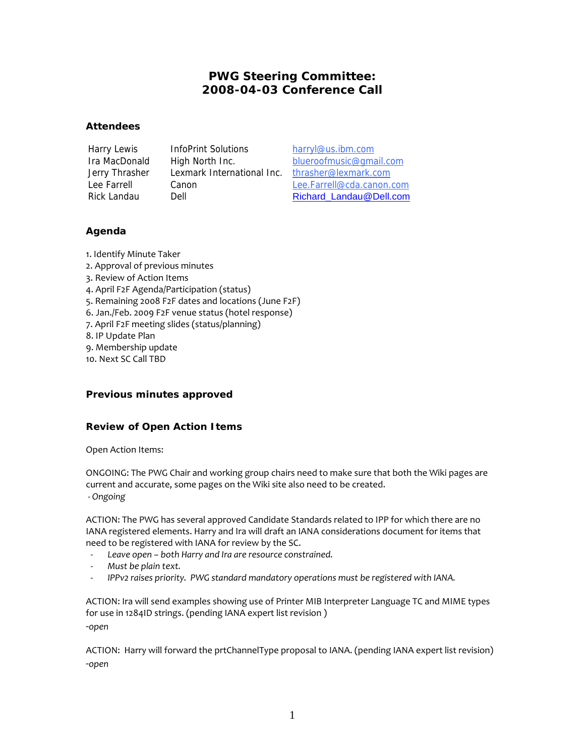# **PWG Steering Committee: 2008-04-03 Conference Call**

### **Attendees**

Harry Lewis InfoPrint Solutions harryl@us.ibm.com Jerry Thrasher Lexmark International Inc. thrasher@lexmark.com

Ira MacDonald High North Inc. blueroofmusic@gmail.com Lee Farrell Canon Canon Lee Farrell@cda.canon.com Rick Landau Dell Dell Richard Landau@Dell.com

## **Agenda**

1. Identify Minute Taker 2. Approval of previous minutes 3. Review of Action Items 4. April F2F Agenda/Participation (status) 5. Remaining 2008 F2F dates and locations (June F2F) 6. Jan./Feb. 2009 F2F venue status (hotel response) 7. April F2F meeting slides (status/planning) 8. IP Update Plan 9. Membership update 10. Next SC Call TBD

## **Previous minutes approved**

## **Review of Open Action Items**

Open Action Items:

ONGOING: The PWG Chair and working group chairs need to make sure that both the Wiki pages are current and accurate, some pages on the Wiki site also need to be created.  *- Ongoing*

ACTION: The PWG has several approved Candidate Standards related to IPP for which there are no IANA registered elements. Harry and Ira will draft an IANA considerations document for items that need to be registered with IANA for review by the SC.

- *Leave open both Harry and Ira are resource constrained.*
- *Must be plain text.*
- *IPPv2 raises priority. PWG standard mandatory operations must be registered with IANA.*

ACTION: Ira will send examples showing use of Printer MIB Interpreter Language TC and MIME types for use in 1284ID strings. (pending IANA expert list revision ) -*open*

ACTION: Harry will forward the prtChannelType proposal to IANA. (pending IANA expert list revision) -*open*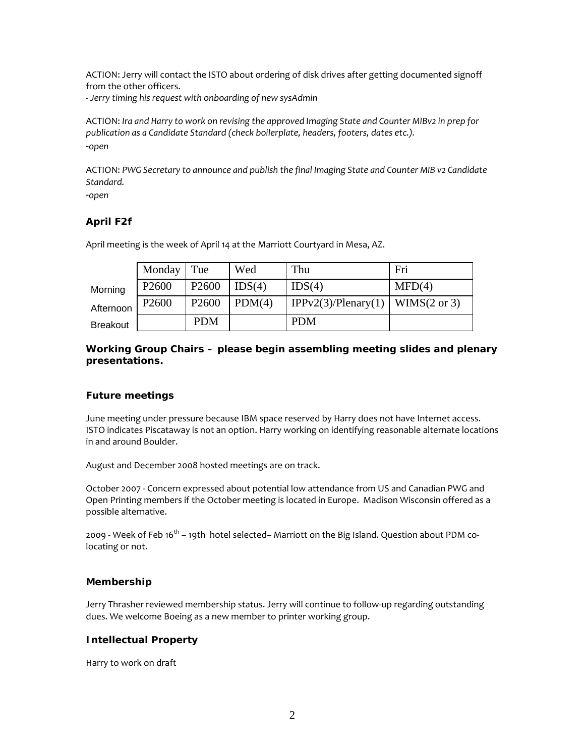ACTION: Jerry will contact the ISTO about ordering of disk drives after getting documented signoff from the other officers.

- *Jerry timing his request with onboarding of new sysAdmin* 

ACTION: *Ira and Harry to work on revising the approved Imaging State and Counter MIBv2 in prep for publication as a Candidate Standard (check boilerplate, headers, footers, dates etc.).*  -*open*

ACTION: *PWG Secretary to announce and publish the final Imaging State and Counter MIB v2 Candidate Standard.* 

-*open*

## **April F2f**

April meeting is the week of April 14 at the Marriott Courtyard in Mesa, AZ.

|                 | Monday Tue        |                   | Wed    | Thu                                | Fri    |
|-----------------|-------------------|-------------------|--------|------------------------------------|--------|
| Morning         | P <sub>2600</sub> | P <sub>2600</sub> | IDS(4) | IDS(4)                             | MFD(4) |
| Afternoon       | P <sub>2600</sub> | P <sub>2600</sub> | PDM(4) | IPPv2(3)/Plenary(1)   WIMS(2 or 3) |        |
| <b>Breakout</b> |                   | <b>PDM</b>        |        | <b>PDM</b>                         |        |

*Working Group Chairs – please begin assembling meeting slides and plenary presentations.* 

#### **Future meetings**

June meeting under pressure because IBM space reserved by Harry does not have Internet access. ISTO indicates Piscataway is not an option. Harry working on identifying reasonable alternate locations in and around Boulder.

August and December 2008 hosted meetings are on track.

October 2007 - Concern expressed about potential low attendance from US and Canadian PWG and Open Printing members if the October meeting is located in Europe. Madison Wisconsin offered as a possible alternative.

2009 - Week of Feb 16<sup>th</sup> – 19th hotel selected– Marriott on the Big Island. Question about PDM colocating or not.

#### **Membership**

Jerry Thrasher reviewed membership status. Jerry will continue to follow-up regarding outstanding dues. We welcome Boeing as a new member to printer working group.

#### **Intellectual Property**

Harry to work on draft